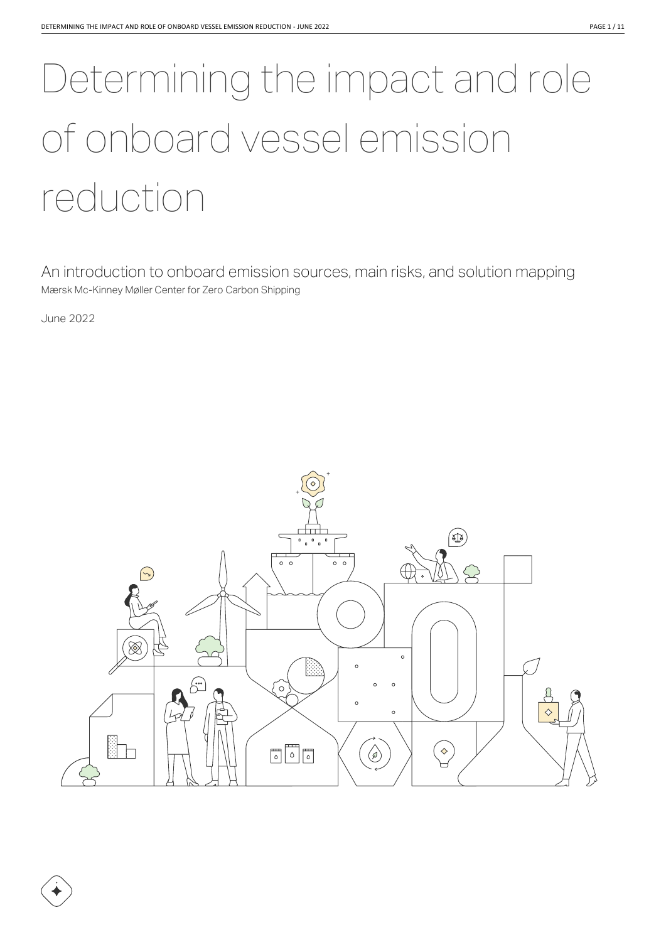# Determining the impact and role of onboard vessel emission reduction

An introduction to onboard emission sources, main risks, and solution mapping Mærsk Mc-Kinney Møller Center for Zero Carbon Shipping

June 2022

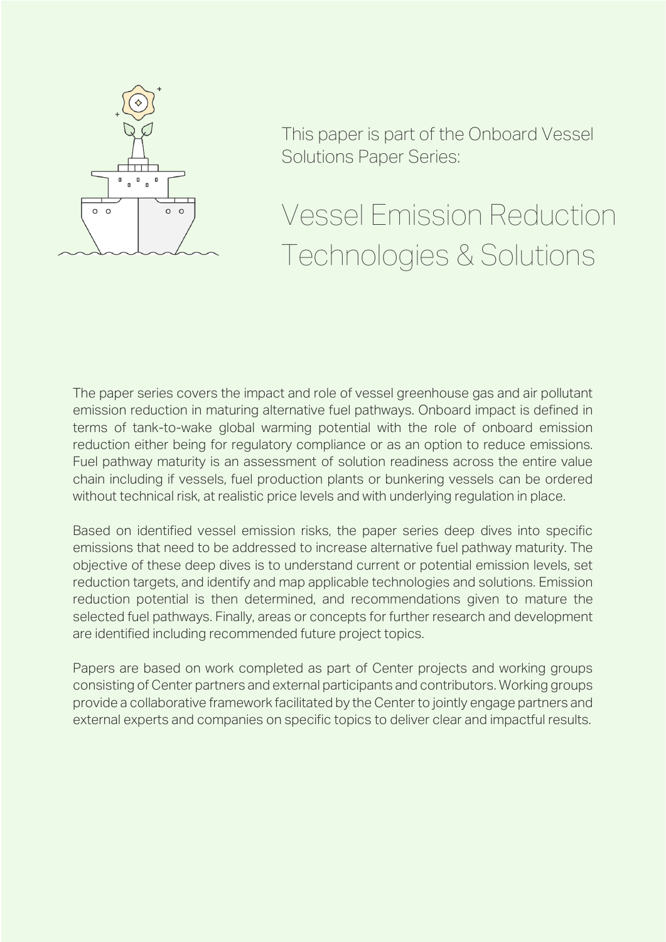

This paper is part of the Onboard Vessel Solutions Paper Series:

# Vessel Emission Reduction Technologies & Solutions

The paper series covers the impact and role of vessel greenhouse gas and air pollutant emission reduction in maturing alternative fuel pathways. Onboard impact is defined in terms of tank-to-wake global warming potential with the role of onboard emission reduction either being for regulatory compliance or as an option to reduce emissions. Fuel pathway maturity is an assessment of solution readiness across the entire value chain including if vessels, fuel production plants or bunkering vessels can be ordered without technical risk, at realistic price levels and with underlying regulation in place.

Based on identified vessel emission risks, the paper series deep dives into specific emissions that need to be addressed to increase alternative fuel pathway maturity. The objective of these deep dives is to understand current or potential emission levels, set reduction targets, and identify and map applicable technologies and solutions. Emission reduction potential is then determined, and recommendations given to mature the selected fuel pathways. Finally, areas or concepts for further research and development are identified including recommended future project topics.

Papers are based on work completed as part of Center projects and working groups consisting of Center partners and external participants and contributors. Working groups provide a collaborative framework facilitated by the Center to jointly engage partners and external experts and companies on specific topics to deliver clear and impactful results.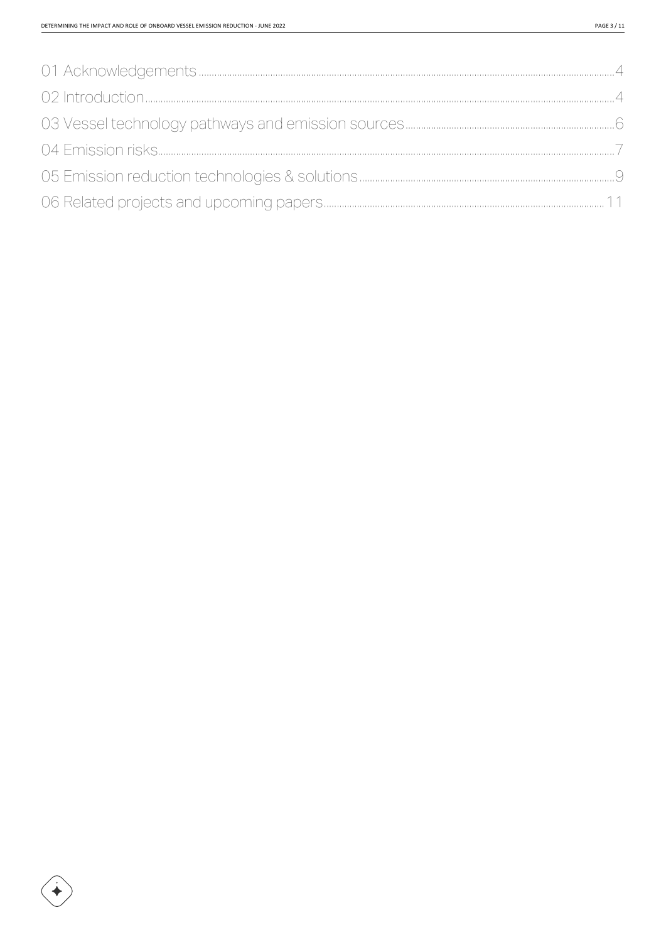<span id="page-2-0"></span>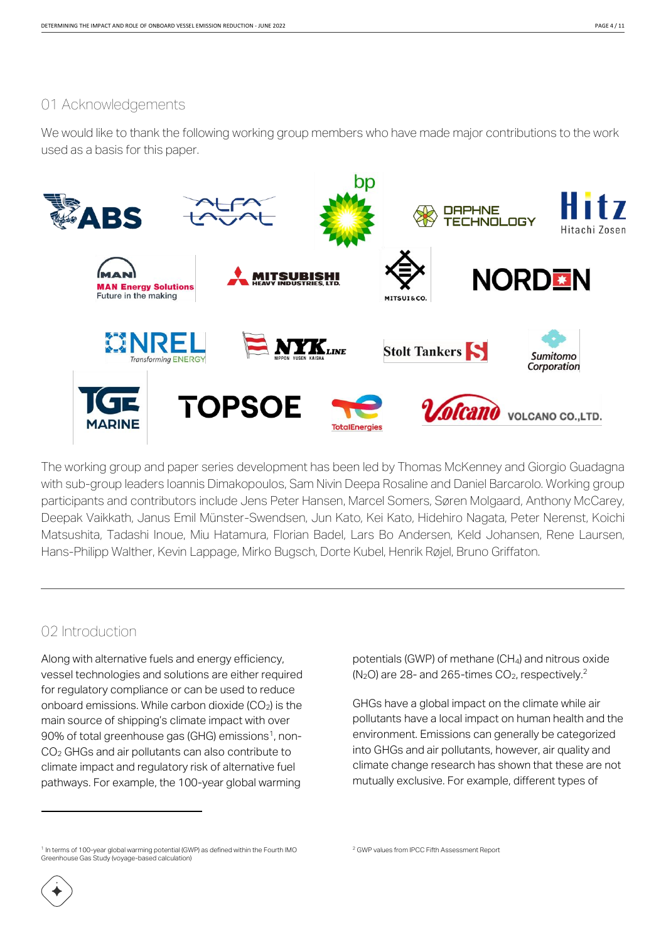#### 01 Acknowledgements

We would like to thank the following working group members who have made major contributions to the work used as a basis for this paper.



The working group and paper series development has been led by Thomas McKenney and Giorgio Guadagna with sub-group leaders Ioannis Dimakopoulos, Sam Nivin Deepa Rosaline and Daniel Barcarolo. Working group participants and contributors include Jens Peter Hansen, Marcel Somers, Søren Molgaard, Anthony McCarey, Deepak Vaikkath, Janus Emil Münster-Swendsen, Jun Kato, Kei Kato, Hidehiro Nagata, Peter Nerenst, Koichi Matsushita, Tadashi Inoue, Miu Hatamura, Florian Badel, Lars Bo Andersen, Keld Johansen, Rene Laursen, Hans-Philipp Walther, Kevin Lappage, Mirko Bugsch, Dorte Kubel, Henrik Røjel, Bruno Griffaton.

#### <span id="page-3-0"></span>02 Introduction

Along with alternative fuels and energy efficiency, vessel technologies and solutions are either required for regulatory compliance or can be used to reduce onboard emissions. While carbon dioxide  $(CO<sub>2</sub>)$  is the main source of shipping's climate impact with over 90% of total greenhouse gas (GHG) emissions<sup>1</sup>, non-CO<sup>2</sup> GHGs and air pollutants can also contribute to climate impact and regulatory risk of alternative fuel pathways. For example, the 100-year global warming

potentials (GWP) of methane (CH4) and nitrous oxide  $(N_2O)$  are 28- and 265-times  $CO_2$ , respectively.<sup>2</sup>

GHGs have a global impact on the climate while air pollutants have a local impact on human health and the environment. Emissions can generally be categorized into GHGs and air pollutants, however, air quality and climate change research has shown that these are not mutually exclusive. For example, different types of

<sup>1</sup> In terms of 100-year global warming potential (GWP) as defined within the Fourth IMO Greenhouse Gas Study (voyage-based calculation)

<sup>2</sup> GWP values from IPCC Fifth Assessment Report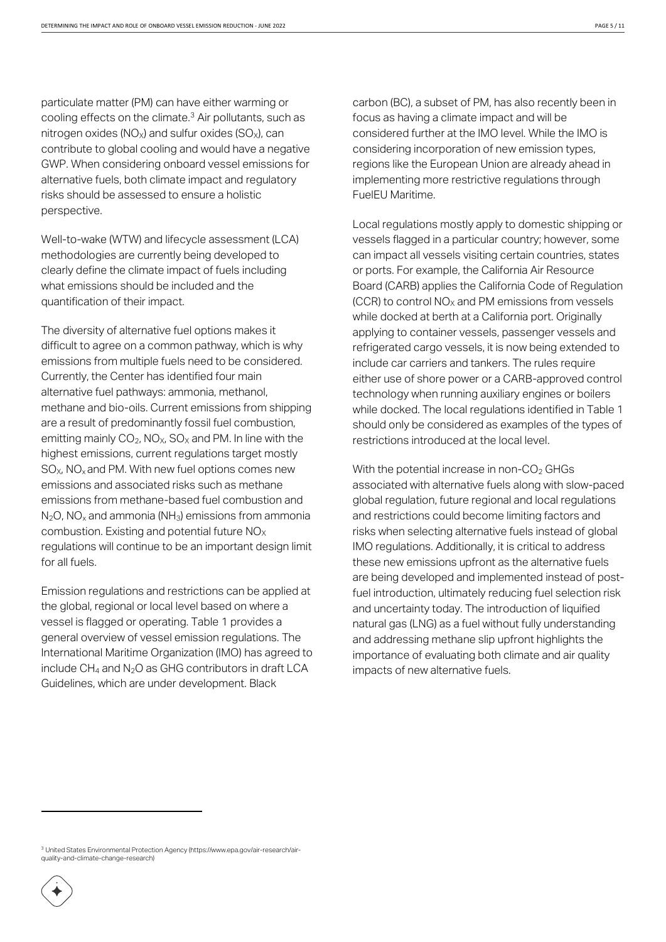particulate matter (PM) can have either warming or cooling effects on the climate.<sup>3</sup> Air pollutants, such as nitrogen oxides ( $NO<sub>x</sub>$ ) and sulfur oxides ( $SO<sub>x</sub>$ ), can contribute to global cooling and would have a negative GWP. When considering onboard vessel emissions for alternative fuels, both climate impact and regulatory risks should be assessed to ensure a holistic perspective.

Well-to-wake (WTW) and lifecycle assessment (LCA) methodologies are currently being developed to clearly define the climate impact of fuels including what emissions should be included and the quantification of their impact.

The diversity of alternative fuel options makes it difficult to agree on a common pathway, which is why emissions from multiple fuels need to be considered. Currently, the Center has identified four main alternative fuel pathways: ammonia, methanol, methane and bio-oils. Current emissions from shipping are a result of predominantly fossil fuel combustion, emitting mainly  $CO<sub>2</sub>$ , NO<sub>X</sub>, SO<sub>X</sub> and PM. In line with the highest emissions, current regulations target mostly  $SO_{X}$ , NO<sub>x</sub> and PM. With new fuel options comes new emissions and associated risks such as methane emissions from methane-based fuel combustion and  $N_2$ O, NO<sub>x</sub> and ammonia (NH<sub>3</sub>) emissions from ammonia combustion. Existing and potential future  $NO<sub>X</sub>$ regulations will continue to be an important design limit for all fuels.

Emission regulations and restrictions can be applied at the global, regional or local level based on where a vessel is flagged or operating. Table 1 provides a general overview of vessel emission regulations. The International Maritime Organization (IMO) has agreed to include  $CH_4$  and  $N_2O$  as GHG contributors in draft LCA Guidelines, which are under development. Black

carbon (BC), a subset of PM, has also recently been in focus as having a climate impact and will be considered further at the IMO level. While the IMO is considering incorporation of new emission types, regions like the European Union are already ahead in implementing more restrictive regulations through FuelEU Maritime.

Local regulations mostly apply to domestic shipping or vessels flagged in a particular country; however, some can impact all vessels visiting certain countries, states or ports. For example, the California Air Resource Board (CARB) applies the California Code of Regulation  $(CCR)$  to control  $NO<sub>x</sub>$  and PM emissions from vessels while docked at berth at a California port. Originally applying to container vessels, passenger vessels and refrigerated cargo vessels, it is now being extended to include car carriers and tankers. The rules require either use of shore power or a CARB-approved control technology when running auxiliary engines or boilers while docked. The local regulations identified in Table 1 should only be considered as examples of the types of restrictions introduced at the local level.

With the potential increase in non- $CO<sub>2</sub>$  GHGs associated with alternative fuels along with slow-paced global regulation, future regional and local regulations and restrictions could become limiting factors and risks when selecting alternative fuels instead of global IMO regulations. Additionally, it is critical to address these new emissions upfront as the alternative fuels are being developed and implemented instead of postfuel introduction, ultimately reducing fuel selection risk and uncertainty today. The introduction of liquified natural gas (LNG) as a fuel without fully understanding and addressing methane slip upfront highlights the importance of evaluating both climate and air quality impacts of new alternative fuels.

<sup>3</sup> United States Environmental Protection Agency (https://www.epa.gov/air-research/airquality-and-climate-change-research)

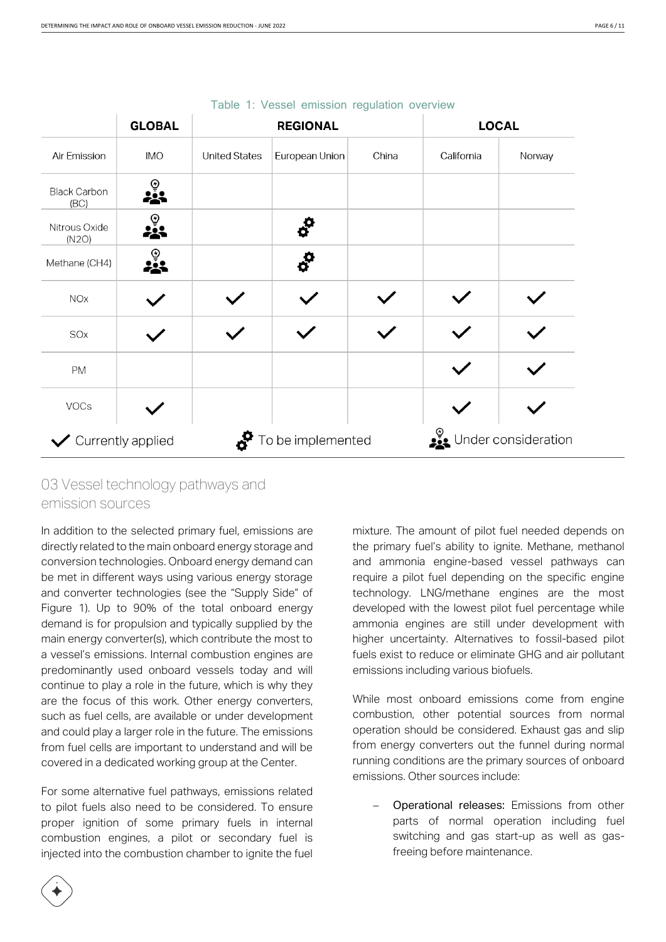|                                        | <b>GLOBAL</b> | <b>REGIONAL</b>      |                     |       |                     | <b>LOCAL</b> |  |  |
|----------------------------------------|---------------|----------------------|---------------------|-------|---------------------|--------------|--|--|
| Air Emission                           | <b>IMO</b>    | <b>United States</b> | European Union      | China | California          | Norway       |  |  |
| <b>Black Carbon</b><br>(BC)            | ⊚             |                      |                     |       |                     |              |  |  |
| Nitrous Oxide<br>(N2O)                 |               |                      | $\sigma^{\text{O}}$ |       |                     |              |  |  |
| Methane (CH4)                          | ⊕             |                      | ó                   |       |                     |              |  |  |
| NOx                                    |               |                      |                     |       |                     |              |  |  |
| SOx                                    |               |                      |                     |       |                     |              |  |  |
| PM                                     |               |                      |                     |       |                     |              |  |  |
| VOCs                                   |               |                      |                     |       |                     |              |  |  |
| To be implemented<br>Currently applied |               |                      |                     |       | Under consideration |              |  |  |

#### Table 1: Vessel emission regulation overview

## <span id="page-5-0"></span>03 Vessel technology pathways and emission sources

In addition to the selected primary fuel, emissions are directly related to the main onboard energy storage and conversion technologies. Onboard energy demand can be met in different ways using various energy storage and converter technologies (see the "Supply Side" of Figure 1). Up to 90% of the total onboard energy demand is for propulsion and typically supplied by the main energy converter(s), which contribute the most to a vessel's emissions. Internal combustion engines are predominantly used onboard vessels today and will continue to play a role in the future, which is why they are the focus of this work. Other energy converters, such as fuel cells, are available or under development and could play a larger role in the future. The emissions from fuel cells are important to understand and will be covered in a dedicated working group at the Center.

For some alternative fuel pathways, emissions related to pilot fuels also need to be considered. To ensure proper ignition of some primary fuels in internal combustion engines, a pilot or secondary fuel is injected into the combustion chamber to ignite the fuel

mixture. The amount of pilot fuel needed depends on the primary fuel's ability to ignite. Methane, methanol and ammonia engine-based vessel pathways can require a pilot fuel depending on the specific engine technology. LNG/methane engines are the most developed with the lowest pilot fuel percentage while ammonia engines are still under development with higher uncertainty. Alternatives to fossil-based pilot fuels exist to reduce or eliminate GHG and air pollutant emissions including various biofuels.

While most onboard emissions come from engine combustion, other potential sources from normal operation should be considered. Exhaust gas and slip from energy converters out the funnel during normal running conditions are the primary sources of onboard emissions. Other sources include:

− Operational releases: Emissions from other parts of normal operation including fuel switching and gas start-up as well as gasfreeing before maintenance.

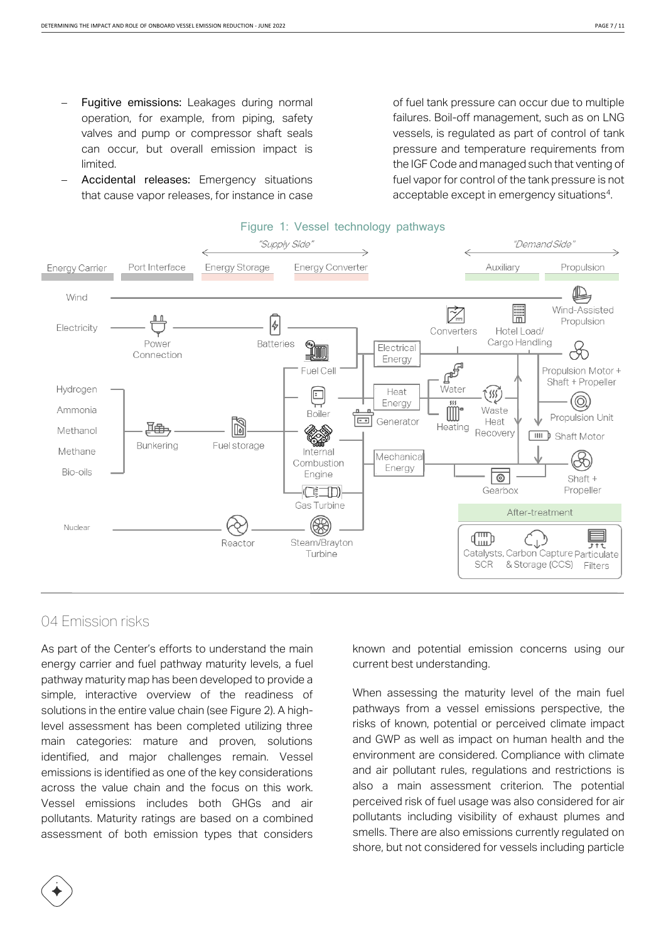- Fugitive emissions: Leakages during normal operation, for example, from piping, safety valves and pump or compressor shaft seals can occur, but overall emission impact is limited.
- Accidental releases: Emergency situations that cause vapor releases, for instance in case

of fuel tank pressure can occur due to multiple failures. Boil-off management, such as on LNG vessels, is regulated as part of control of tank pressure and temperature requirements from the IGF Code and managed such that venting of fuel vapor for control of the tank pressure is not acceptable except in emergency situations<sup>4</sup>.



#### Figure 1: Vessel technology pathways

#### <span id="page-6-0"></span>04 Emission risks

As part of the Center's efforts to understand the main energy carrier and fuel pathway maturity levels, a fuel pathway maturity map has been developed to provide a simple, interactive overview of the readiness of solutions in the entire value chain (see Figure 2). A highlevel assessment has been completed utilizing three main categories: mature and proven, solutions identified, and major challenges remain. Vessel emissions is identified as one of the key considerations across the value chain and the focus on this work. Vessel emissions includes both GHGs and air pollutants. Maturity ratings are based on a combined assessment of both emission types that considers

known and potential emission concerns using our current best understanding.

When assessing the maturity level of the main fuel pathways from a vessel emissions perspective, the risks of known, potential or perceived climate impact and GWP as well as impact on human health and the environment are considered. Compliance with climate and air pollutant rules, regulations and restrictions is also a main assessment criterion. The potential perceived risk of fuel usage was also considered for air pollutants including visibility of exhaust plumes and smells. There are also emissions currently regulated on shore, but not considered for vessels including particle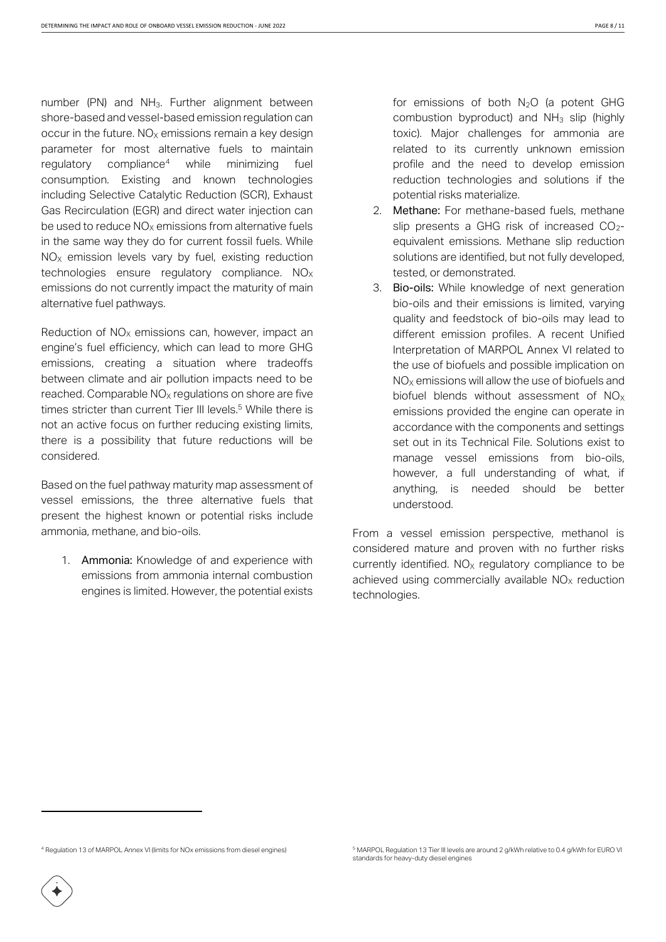number (PN) and NH3. Further alignment between shore-based and vessel-based emission regulation can occur in the future.  $NO<sub>X</sub>$  emissions remain a key design parameter for most alternative fuels to maintain regulatory compliance<sup>4</sup> while minimizing fuel consumption. Existing and known technologies including Selective Catalytic Reduction (SCR), Exhaust Gas Recirculation (EGR) and direct water injection can be used to reduce  $NO<sub>x</sub>$  emissions from alternative fuels in the same way they do for current fossil fuels. While  $NO<sub>x</sub>$  emission levels vary by fuel, existing reduction technologies ensure regulatory compliance.  $NO<sub>X</sub>$ emissions do not currently impact the maturity of main alternative fuel pathways.

Reduction of  $NO<sub>x</sub>$  emissions can, however, impact an engine's fuel efficiency, which can lead to more GHG emissions, creating a situation where tradeoffs between climate and air pollution impacts need to be reached. Comparable  $NO<sub>X</sub>$  regulations on shore are five times stricter than current Tier III levels. <sup>5</sup> While there is not an active focus on further reducing existing limits, there is a possibility that future reductions will be considered.

Based on the fuel pathway maturity map assessment of vessel emissions, the three alternative fuels that present the highest known or potential risks include ammonia, methane, and bio-oils.

1. Ammonia: Knowledge of and experience with emissions from ammonia internal combustion engines is limited. However, the potential exists

for emissions of both  $N_2O$  (a potent GHG combustion byproduct) and  $NH<sub>3</sub>$  slip (highly toxic). Major challenges for ammonia are related to its currently unknown emission profile and the need to develop emission reduction technologies and solutions if the potential risks materialize.

- 2. Methane: For methane-based fuels, methane slip presents a GHG risk of increased  $CO_{2}$ equivalent emissions. Methane slip reduction solutions are identified, but not fully developed, tested, or demonstrated.
- 3. Bio-oils: While knowledge of next generation bio-oils and their emissions is limited, varying quality and feedstock of bio-oils may lead to different emission profiles. A recent Unified Interpretation of MARPOL Annex VI related to the use of biofuels and possible implication on  $NO<sub>x</sub>$  emissions will allow the use of biofuels and biofuel blends without assessment of  $NO<sub>x</sub>$ emissions provided the engine can operate in accordance with the components and settings set out in its Technical File. Solutions exist to manage vessel emissions from bio-oils, however, a full understanding of what, if anything, is needed should be better understood.

From a vessel emission perspective, methanol is considered mature and proven with no further risks currently identified.  $NO<sub>x</sub>$  regulatory compliance to be achieved using commercially available  $NO<sub>x</sub>$  reduction technologies.

<sup>4</sup> Regulation 13 of MARPOL Annex VI (limits for NOx emissions from diesel engines)

<sup>5</sup> MARPOL Regulation 13 Tier III levels are around 2 g/kWh relative to 0.4 g/kWh for EURO VI standards for heavy-duty diesel engines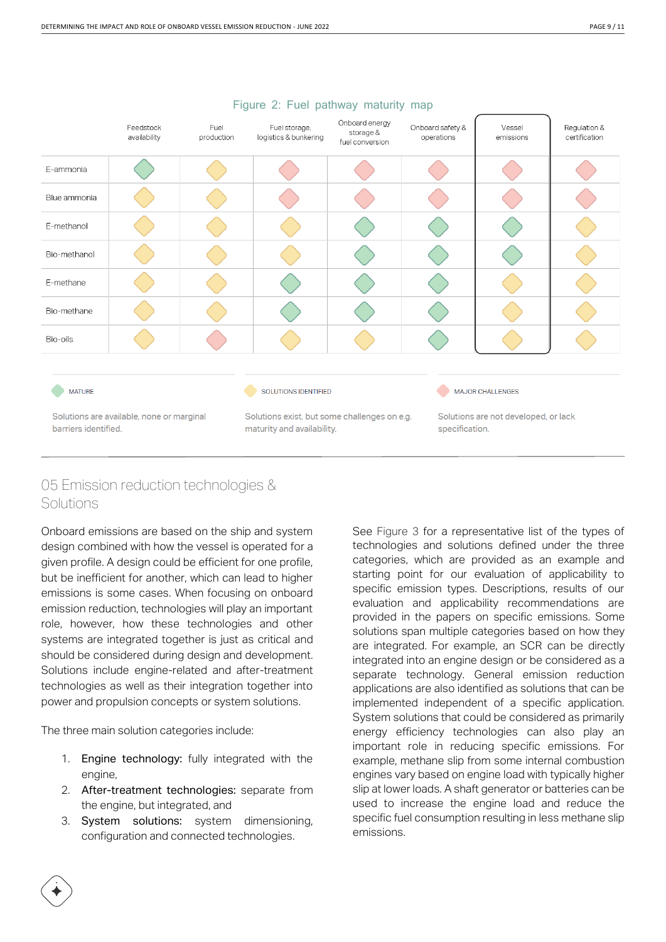|                                                                   | Feedstock<br>availability | Fuel<br>production | Fuel storage,<br>logistics & bunkering                                     | Onboard energy<br>storage &<br>fuel conversion | Onboard safety &<br>operations | Vessel<br>emissions                                    | Regulation &<br>certification |  |
|-------------------------------------------------------------------|---------------------------|--------------------|----------------------------------------------------------------------------|------------------------------------------------|--------------------------------|--------------------------------------------------------|-------------------------------|--|
| E-ammonia                                                         |                           |                    |                                                                            |                                                |                                |                                                        |                               |  |
| Blue ammonia                                                      |                           |                    |                                                                            |                                                |                                |                                                        |                               |  |
| E-methanol                                                        |                           |                    |                                                                            |                                                |                                |                                                        |                               |  |
| Bio-methanol                                                      |                           |                    |                                                                            |                                                |                                |                                                        |                               |  |
| E-methane                                                         |                           |                    |                                                                            |                                                |                                |                                                        |                               |  |
| Bio-methane                                                       |                           |                    |                                                                            |                                                |                                |                                                        |                               |  |
| Bio-oils                                                          |                           |                    |                                                                            |                                                |                                |                                                        |                               |  |
|                                                                   |                           |                    |                                                                            |                                                |                                |                                                        |                               |  |
| <b>MATURE</b>                                                     |                           |                    | <b>SOLUTIONS IDENTIFIED</b>                                                |                                                | <b>MAJOR CHALLENGES</b>        |                                                        |                               |  |
| Solutions are available, none or marginal<br>barriers identified. |                           |                    | Solutions exist, but some challenges on e.g.<br>maturity and availability. |                                                |                                | Solutions are not developed, or lack<br>specification. |                               |  |

#### Figure 2: Fuel pathway maturity map

## <span id="page-8-0"></span>05 Emission reduction technologies & Solutions

Onboard emissions are based on the ship and system design combined with how the vessel is operated for a given profile. A design could be efficient for one profile, but be inefficient for another, which can lead to higher emissions is some cases. When focusing on onboard emission reduction, technologies will play an important role, however, how these technologies and other systems are integrated together is just as critical and should be considered during design and development. Solutions include engine-related and after-treatment technologies as well as their integration together into power and propulsion concepts or system solutions.

The three main solution categories include:

- 1. Engine technology: fully integrated with the engine,
- 2. After-treatment technologies: separate from the engine, but integrated, and
- 3. System solutions: system dimensioning, configuration and connected technologies.

See Figure 3 for a representative list of the types of technologies and solutions defined under the three categories, which are provided as an example and starting point for our evaluation of applicability to specific emission types. Descriptions, results of our evaluation and applicability recommendations are provided in the papers on specific emissions. Some solutions span multiple categories based on how they are integrated. For example, an SCR can be directly integrated into an engine design or be considered as a separate technology. General emission reduction applications are also identified as solutions that can be implemented independent of a specific application. System solutions that could be considered as primarily energy efficiency technologies can also play an important role in reducing specific emissions. For example, methane slip from some internal combustion engines vary based on engine load with typically higher slip at lower loads. A shaft generator or batteries can be used to increase the engine load and reduce the specific fuel consumption resulting in less methane slip emissions.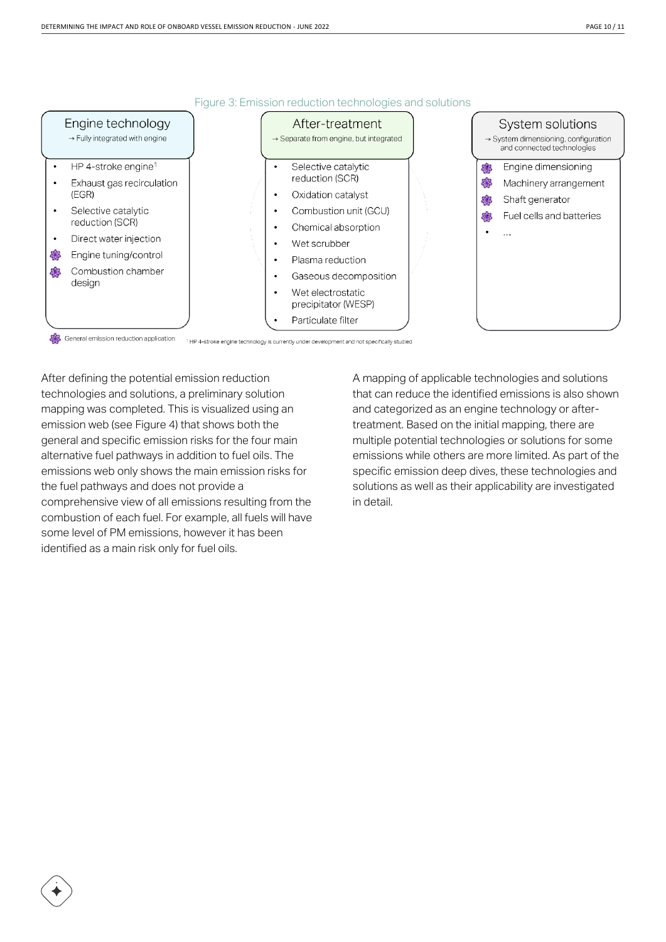

Figure 3: Emission reduction technologies and solutions

After defining the potential emission reduction technologies and solutions, a preliminary solution mapping was completed. This is visualized using an emission web (see Figure 4) that shows both the general and specific emission risks for the four main alternative fuel pathways in addition to fuel oils. The emissions web only shows the main emission risks for the fuel pathways and does not provide a comprehensive view of all emissions resulting from the combustion of each fuel. For example, all fuels will have some level of PM emissions, however it has been

identified as a main risk only for fuel oils.

A mapping of applicable technologies and solutions that can reduce the identified emissions is also shown and categorized as an engine technology or aftertreatment. Based on the initial mapping, there are multiple potential technologies or solutions for some emissions while others are more limited. As part of the specific emission deep dives, these technologies and solutions as well as their applicability are investigated in detail.